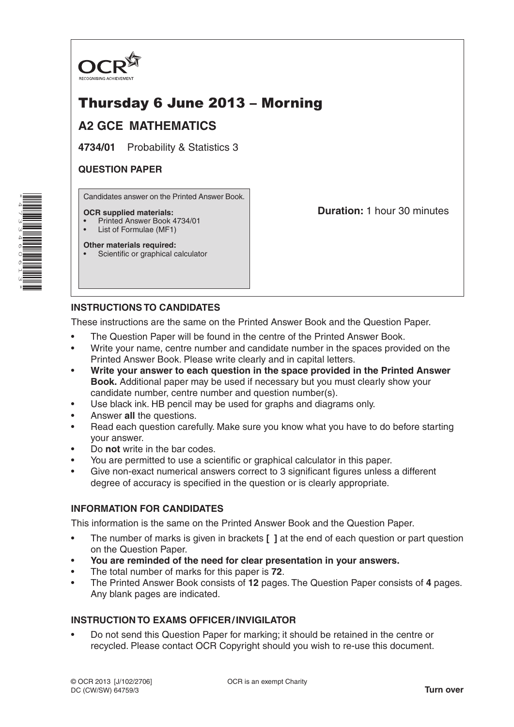

# Thursday 6 June 2013 – Morning

## **A2 GCE MATHEMATICS**

**4734/01** Probability & Statistics 3

## **QUESTION PAPER**

Candidates answer on the Printed Answer Book.

#### **OCR supplied materials:**

- Printed Answer Book 4734/01
- List of Formulae (MF1)

**Other materials required:** Scientific or graphical calculator **Duration:** 1 hour 30 minutes

## **INSTRUCTIONS TO CANDIDATES**

These instructions are the same on the Printed Answer Book and the Question Paper.

- The Question Paper will be found in the centre of the Printed Answer Book.
- Write your name, centre number and candidate number in the spaces provided on the Printed Answer Book. Please write clearly and in capital letters.
- **Write your answer to each question in the space provided in the Printed Answer Book.** Additional paper may be used if necessary but you must clearly show your candidate number, centre number and question number(s).
- Use black ink. HB pencil may be used for graphs and diagrams only.
- Answer **all** the questions.
- Read each question carefully. Make sure you know what you have to do before starting your answer.
- Do **not** write in the bar codes.
- You are permitted to use a scientific or graphical calculator in this paper.
- Give non-exact numerical answers correct to 3 significant figures unless a different degree of accuracy is specified in the question or is clearly appropriate.

## **INFORMATION FOR CANDIDATES**

This information is the same on the Printed Answer Book and the Question Paper.

- The number of marks is given in brackets **[ ]** at the end of each question or part question on the Question Paper.
- **You are reminded of the need for clear presentation in your answers.**
- The total number of marks for this paper is **72**.
- The Printed Answer Book consists of **12** pages. The Question Paper consists of **4** pages. Any blank pages are indicated.

## **INSTRUCTION TO EXAMS OFFICER/INVIGILATOR**

• Do not send this Question Paper for marking; it should be retained in the centre or recycled. Please contact OCR Copyright should you wish to re-use this document.

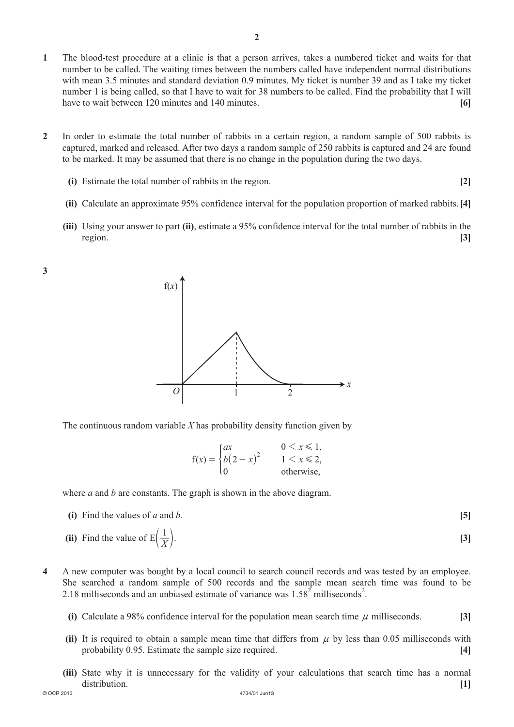- **1**  The blood-test procedure at a clinic is that a person arrives, takes a numbered ticket and waits for that number to be called. The waiting times between the numbers called have independent normal distributions with mean 3.5 minutes and standard deviation 0.9 minutes. My ticket is number 39 and as I take my ticket number 1 is being called, so that I have to wait for 38 numbers to be called. Find the probability that I will have to wait between 120 minutes and 140 minutes. **[6]**
- **2**  In order to estimate the total number of rabbits in a certain region, a random sample of 500 rabbits is captured, marked and released. After two days a random sample of 250 rabbits is captured and 24 are found to be marked. It may be assumed that there is no change in the population during the two days.
	- **(i)** Estimate the total number of rabbits in the region. **[2]** 
		-
	- **(ii)** Calculate an approximate 95% confidence interval for the population proportion of marked rabbits. [4]
	- **(iii)** Using your answer to part **(ii)**, estimate a 95% confidence interval for the total number of rabbits in the region. **[3]**





The continuous random variable *X* has probability density function given by

|                                                     | $0 \leq x \leq 1$ , |
|-----------------------------------------------------|---------------------|
| $f(x) = \begin{cases} ax \\ b(2 - x)^2 \end{cases}$ | $1 \leq x \leq 2$   |
| l٥                                                  | otherwise,          |

where *a* and *b* are constants. The graph is shown in the above diagram.

- **(i)** Find the values of *a* and *b*.  $[5]$
- (ii) Find the value of  $E\left(\frac{1}{Y}\right)$ .  $E\left(\frac{1}{Y}\right)$ . [3]
- **4**  A new computer was bought by a local council to search council records and was tested by an employee. She searched a random sample of 500 records and the sample mean search time was found to be 2.18 milliseconds and an unbiased estimate of variance was  $1.58^2$  milliseconds<sup>2</sup>.
	- **(i)** Calculate a 98% confidence interval for the population mean search time  $\mu$  milliseconds. **[3]**
	- **(ii)** It is required to obtain a sample mean time that differs from  $\mu$  by less than 0.05 milliseconds with probability 0.95. Estimate the sample size required. **[4]**
- © OCR 2013 4734/01 Jun13 **(iii)** State why it is unnecessary for the validity of your calculations that search time has a normal distribution. **[1]**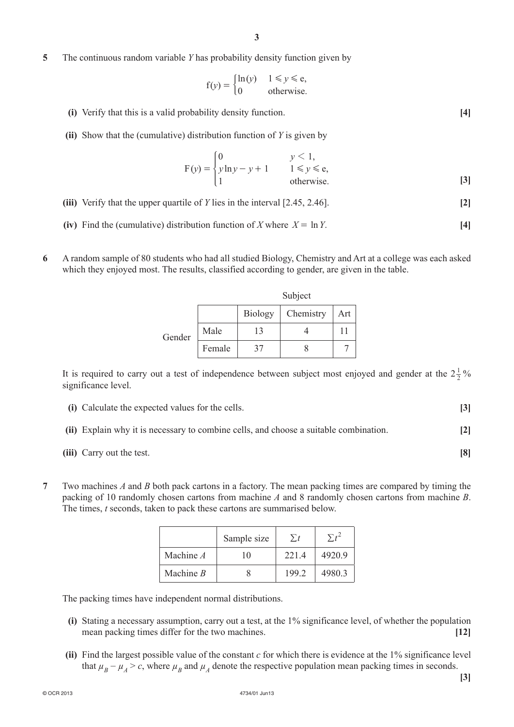**5**  The continuous random variable *Y* has probability density function given by

$$
f(y) = \begin{cases} \ln(y) & 1 \le y \le e, \\ 0 & \text{otherwise.} \end{cases}
$$

- **(i)** Verify that this is a valid probability density function. **[4]**
- **(ii)** Show that the (cumulative) distribution function of *Y* is given by

$$
F(y) = \begin{cases} 0 & y < 1, \\ y \ln y - y + 1 & 1 \le y \le e, \\ 1 & \text{otherwise.} \end{cases}
$$
 [3]

- **(iii)** Verify that the upper quartile of *Y* lies in the interval [2.45, 2.46]. **[2]**
- **(iv)** Find the (cumulative) distribution function of *X* where  $X = \ln Y$ . [4]
- **6**  A random sample of 80 students who had all studied Biology, Chemistry and Art at a college was each asked which they enjoyed most. The results, classified according to gender, are given in the table.

|        |        | Subject        |           |     |  |
|--------|--------|----------------|-----------|-----|--|
|        |        | <b>Biology</b> | Chemistry | Art |  |
| Gender | Male   | 13             |           | 11  |  |
|        | Female | 37             |           |     |  |

It is required to carry out a test of independence between subject most enjoyed and gender at the  $2\frac{1}{2}\%$ significance level.

| (i) Calculate the expected values for the cells.                                      |  |
|---------------------------------------------------------------------------------------|--|
| (ii) Explain why it is necessary to combine cells, and choose a suitable combination. |  |

- *(iii)* Carry out the test. **[8]**
- **7**  Two machines *A* and *B* both pack cartons in a factory. The mean packing times are compared by timing the packing of 10 randomly chosen cartons from machine *A* and 8 randomly chosen cartons from machine *B*. The times, *t* seconds, taken to pack these cartons are summarised below.

|             | Sample size | $\sum t$ |        |
|-------------|-------------|----------|--------|
| Machine A   | 10          | 2214     | 4920.9 |
| Machine $B$ |             | 199.2    | 4980.3 |

The packing times have independent normal distributions.

- **(i)** Stating a necessary assumption, carry out a test, at the 1% significance level, of whether the population mean packing times differ for the two machines. **[12]**
- **(ii)** Find the largest possible value of the constant  $c$  for which there is evidence at the 1% significance level that  $\mu_B - \mu_A > c$ , where  $\mu_B$  and  $\mu_A$  denote the respective population mean packing times in seconds.